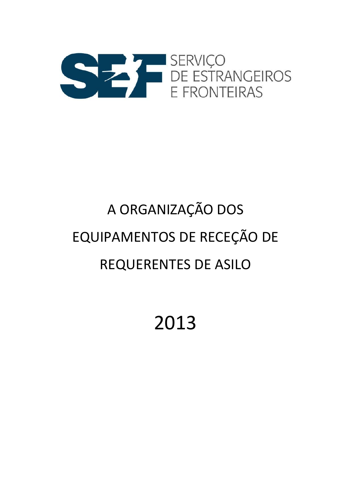

# A ORGANIZAÇÃO DOS EQUIPAMENTOS DE RECEÇÃO DE REQUERENTES DE ASILO

2013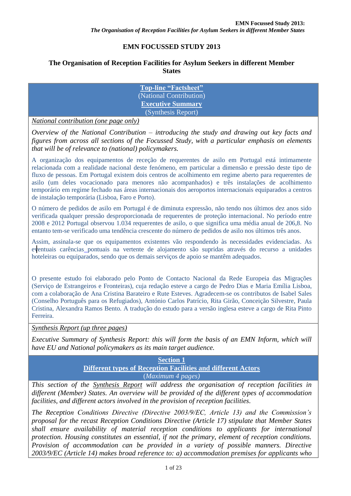# **EMN FOCUSSED STUDY 2013**

#### **The Organisation of Reception Facilities for Asylum Seekers in different Member States**

**Top-line "Factsheet"** (National Contribution) **Executive Summary** (Synthesis Report)

*National contribution (one page only)*

*Overview of the National Contribution – introducing the study and drawing out key facts and figures from across all sections of the Focussed Study, with a particular emphasis on elements that will be of relevance to (national) policymakers.* 

A organização dos equipamentos de receção de requerentes de asilo em Portugal está intimamente relacionada com a realidade nacional deste fenómeno, em particular a dimensão e pressão deste tipo de fluxo de pessoas. Em Portugal existem dois centros de acolhimento em regime aberto para requerentes de asilo (um deles vocacionado para menores não acompanhados) e três instalações de acolhimento temporário em regime fechado nas áreas internacionais dos aeroportos internacionais equiparados a centros de instalação temporária (Lisboa, Faro e Porto).

O número de pedidos de asilo em Portugal é de diminuta expressão, não tendo nos últimos dez anos sido verificada qualquer pressão desproporcionada de requerentes de proteção internacional. No período entre 2008 e 2012 Portugal observou 1.034 requerentes de asilo, o que significa uma média anual de 206,8. No entanto tem-se verificado uma tendência crescente do número de pedidos de asilo nos últimos três anos.

Assim, assinala-se que os equipamentos existentes vão respondendo às necessidades evidenciadas. As eventuais carências pontuais na vertente de alojamento são supridas através do recurso a unidades hoteleiras ou equiparados, sendo que os demais serviços de apoio se mantêm adequados.

O presente estudo foi elaborado pelo Ponto de Contacto Nacional da Rede Europeia das Migrações (Serviço de Estrangeiros e Fronteiras), cuja redação esteve a cargo de Pedro Dias e Maria Emília Lisboa, com a colaboração de Ana Cristina Barateiro e Rute Esteves. Agradecem-se os contributos de Isabel Sales (Conselho Português para os Refugiados), António Carlos Patrício, Rita Girão, Conceição Silvestre, Paula Cristina, Alexandra Ramos Bento. A tradução do estudo para a versão inglesa esteve a cargo de Rita Pinto Ferreira.

*Synthesis Report (up three pages)*

*Executive Summary of Synthesis Report: this will form the basis of an EMN Inform, which will have EU and National policymakers as its main target audience.* 

> **Section 1 Different types of Reception Facilities and different Actors** (*Maximum 4 pages)*

*This section of the Synthesis Report will address the organisation of reception facilities in different (Member) States. An overview will be provided of the different types of accommodation facilities, and different actors involved in the provision of reception facilities.* 

*The Reception Conditions Directive (Directive 2003/9/EC, Article 13) and the Commission's proposal for the recast Reception Conditions Directive (Article 17) stipulate that Member States shall ensure availability of material reception conditions to applicants for international protection. Housing constitutes an essential, if not the primary, element of reception conditions. Provision of accommodation can be provided in a variety of possible manners. Directive 2003/9/EC (Article 14) makes broad reference to: a) accommodation premises for applicants who*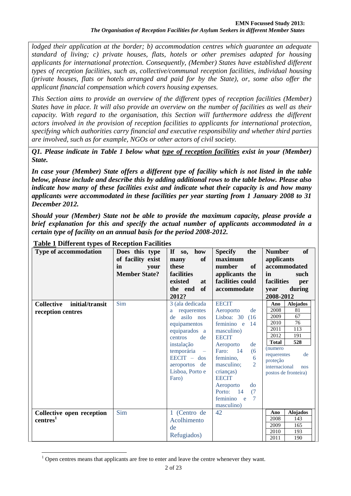*lodged their application at the border; b) accommodation centres which guarantee an adequate standard of living; c) private houses, flats, hotels or other premises adapted for housing applicants for international protection. Consequently, (Member) States have established different types of reception facilities, such as, collective/communal reception facilities, individual housing (private houses, flats or hotels arranged and paid for by the State), or, some also offer the applicant financial compensation which covers housing expenses.* 

*This Section aims to provide an overview of the different types of reception facilities (Member) States have in place. It will also provide an overview on the number of facilities as well as their capacity. With regard to the organisation, this Section will furthermore address the different actors involved in the provision of reception facilities to applicants for international protection, specifying which authorities carry financial and executive responsibility and whether third parties are involved, such as for example, NGOs or other actors of civil society.* 

*Q1. Please indicate in Table 1 below what type of reception facilities exist in your (Member) State.* 

*In case your (Member) State offers a different type of facility which is not listed in the table below, please include and describe this by adding additional rows to the table below. Please also indicate how many of these facilities exist and indicate what their capacity is and how many applicants were accommodated in these facilities per year starting from 1 January 2008 to 31 December 2012.* 

*Should your (Member) State not be able to provide the maximum capacity, please provide a brief explanation for this and specify the actual number of applicants accommodated in a certain type of facility on an annual basis for the period 2008-2012.* 

| Type of accommodation                                     | Does this type<br>of facility exist<br>in<br>vour<br><b>Member State?</b> | how<br>If $so,$<br>of<br>many<br>these<br>facilities<br>existed<br><b>at</b><br>of<br>the end<br>2012?                                                                                                         | <b>Specify</b><br>the<br>maximum<br>number<br>of<br>applicants the<br>facilities could<br>accommodate                                                                                                                                                                                               | of<br><b>Number</b><br>applicants<br>accommodated<br>in<br>such<br>facilities<br>per<br>during<br>year<br>2008-2012                                                                                                           |
|-----------------------------------------------------------|---------------------------------------------------------------------------|----------------------------------------------------------------------------------------------------------------------------------------------------------------------------------------------------------------|-----------------------------------------------------------------------------------------------------------------------------------------------------------------------------------------------------------------------------------------------------------------------------------------------------|-------------------------------------------------------------------------------------------------------------------------------------------------------------------------------------------------------------------------------|
| <b>Collective</b><br>initial/transit<br>reception centres | Sim                                                                       | 3 (ala dedicada<br>requerentes<br>a<br>asilo nos<br>de<br>equipamentos<br>equiparados a<br>centros<br>de<br>instalação<br>temporária -<br>$\text{EECIT}$ – dos<br>aeroportos<br>de<br>Lisboa, Porto e<br>Faro) | <b>EECIT</b><br>Aeroporto<br>de<br>Lisboa: $30$<br>(16)<br>feminino e<br>14<br>masculino)<br><b>EECIT</b><br>de<br>Aeroporto<br>Faro: 14<br>(6)<br>feminino,<br>6<br>2<br>masculino;<br>crianças)<br><b>EECIT</b><br>Aeroporto<br>$d\sigma$<br>Porto:<br>14<br>(7)<br>feminino e<br>7<br>masculino) | <b>Alojados</b><br>Ano<br>2008<br>81<br>67<br>2009<br>76<br>2010<br>113<br>2011<br>191<br>2012<br>528<br><b>Total</b><br>(numero<br>de<br>requerentes<br>proteção<br>internacional<br>n <sub>OS</sub><br>postos de fronteira) |
| Collective open reception<br>centres <sup>1</sup>         | Sim                                                                       | 1 (Centro de<br>Acolhimento<br>de<br>Refugiados)                                                                                                                                                               | 42                                                                                                                                                                                                                                                                                                  | <b>Alojados</b><br>Ano<br>2008<br>143<br>165<br>2009<br>2010<br>193<br>2011<br>190                                                                                                                                            |

# **Table 1 Different types of Reception Facilities**

 $\overline{a}$  $1$  Open centres means that applicants are free to enter and leave the centre whenever they want.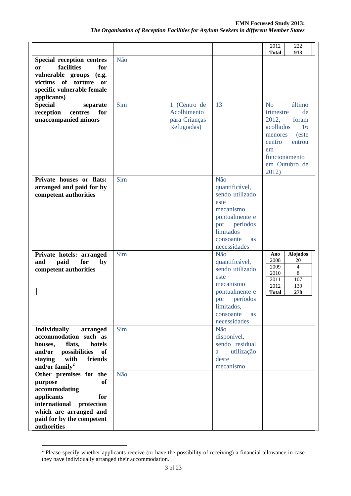|                                                                                                                                                                                 |     |                                                             |                                                                                                                                                            | 2012<br>222                                                                                                                                                               |
|---------------------------------------------------------------------------------------------------------------------------------------------------------------------------------|-----|-------------------------------------------------------------|------------------------------------------------------------------------------------------------------------------------------------------------------------|---------------------------------------------------------------------------------------------------------------------------------------------------------------------------|
|                                                                                                                                                                                 |     |                                                             |                                                                                                                                                            | <b>Total</b><br>913                                                                                                                                                       |
| <b>Special reception centres</b><br>facilities<br>for<br><b>or</b><br>vulnerable groups (e.g.<br>victims of torture or<br>specific vulnerable female<br>applicants)             | Não |                                                             |                                                                                                                                                            |                                                                                                                                                                           |
| <b>Special</b><br>separate<br>reception<br>centres<br>for<br>unaccompanied minors                                                                                               | Sim | 1 (Centro de<br>Acolhimento<br>para Crianças<br>Refugiadas) | 13                                                                                                                                                         | último<br>N <sub>o</sub><br>de<br>trimestre<br>2012,<br>foram<br>acolhidos<br>16<br>(este<br>menores<br>centro<br>entrou<br>em<br>funcionamento<br>em Outubro de<br>2012) |
| Private houses or flats:<br>arranged and paid for by<br>competent authorities                                                                                                   | Sim |                                                             | Não<br>quantificável,<br>sendo utilizado<br>este<br>mecanismo<br>pontualmente e<br>períodos<br>por<br>limitados<br>consoante<br><b>as</b><br>necessidades  |                                                                                                                                                                           |
| Private hotels: arranged<br>and<br>paid<br>for<br>by<br>competent authorities                                                                                                   | Sim |                                                             | Não<br>quantificável,<br>sendo utilizado<br>este<br>mecanismo<br>pontualmente e<br>períodos<br>por<br>limitados,<br>consoante<br><b>as</b><br>necessidades | <b>Alojados</b><br>Ano<br>2008<br>20<br>2009<br>4<br>$\overline{8}$<br>2010<br>107<br>2011<br>2012<br>139<br>278<br><b>Total</b>                                          |
| <b>Individually</b><br>arranged<br>accommodation such as<br>houses,<br>flats,<br>hotels<br>possibilities<br>and/or<br>of<br>staying<br>with<br>friends<br>and/or family $^2$    | Sim |                                                             | Não<br>disponível,<br>sendo residual<br>utilização<br>a<br>deste<br>mecanismo                                                                              |                                                                                                                                                                           |
| Other premises for the<br>purpose<br>of<br>accommodating<br>applicants<br>for<br>international protection<br>which are arranged and<br>paid for by the competent<br>authorities | Não |                                                             |                                                                                                                                                            |                                                                                                                                                                           |

<sup>&</sup>lt;sup>2</sup> Please specify whether applicants receive (or have the possibility of receiving) a financial allowance in case they have individually arranged their accommodation.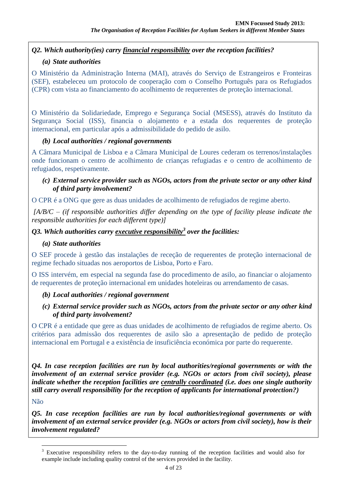# *Q2. Which authority(ies) carry financial responsibility over the reception facilities?*

#### *(a) State authorities*

O Ministério da Administração Interna (MAI), através do Serviço de Estrangeiros e Fronteiras (SEF), estabeleceu um protocolo de cooperação com o Conselho Português para os Refugiados (CPR) com vista ao financiamento do acolhimento de requerentes de proteção internacional.

O Ministério da Solidariedade, Emprego e Segurança Social (MSESS), através do Instituto da Segurança Social (ISS), financia o alojamento e a estada dos requerentes de proteção internacional, em particular após a admissibilidade do pedido de asilo.

#### *(b) Local authorities / regional governments*

A Câmara Municipal de Lisboa e a Câmara Municipal de Loures cederam os terrenos/instalações onde funcionam o centro de acolhimento de crianças refugiadas e o centro de acolhimento de refugiados, respetivamente.

#### *(c) External service provider such as NGOs, actors from the private sector or any other kind of third party involvement?*

O CPR é a ONG que gere as duas unidades de acolhimento de refugiados de regime aberto.

*[A/B/C – (if responsible authorities differ depending on the type of facility please indicate the responsible authorities for each different type)]*

# *Q3. Which authorities carry executive responsibility<sup>3</sup> over the facilities:*

#### *(a) State authorities*

O SEF procede à gestão das instalações de receção de requerentes de proteção internacional de regime fechado situadas nos aeroportos de Lisboa, Porto e Faro.

O ISS intervém, em especial na segunda fase do procedimento de asilo, ao financiar o alojamento de requerentes de proteção internacional em unidades hoteleiras ou arrendamento de casas.

#### *(b) Local authorities / regional government*

#### *(c) External service provider such as NGOs, actors from the private sector or any other kind of third party involvement?*

O CPR é a entidade que gere as duas unidades de acolhimento de refugiados de regime aberto. Os critérios para admissão dos requerentes de asilo são a apresentação de pedido de proteção internacional em Portugal e a existência de insuficiência económica por parte do requerente.

*Q4. In case reception facilities are run by local authorities/regional governments or with the involvement of an external service provider (e.g. NGOs or actors from civil society), please indicate whether the reception facilities are centrally coordinated (i.e. does one single authority still carry overall responsibility for the reception of applicants for international protection?)* 

#### Não

 $\overline{a}$ 

*Q5. In case reception facilities are run by local authorities/regional governments or with involvement of an external service provider (e.g. NGOs or actors from civil society), how is their involvement regulated?* 

<sup>3</sup> Executive responsibility refers to the day-to-day running of the reception facilities and would also for example include including quality control of the services provided in the facility.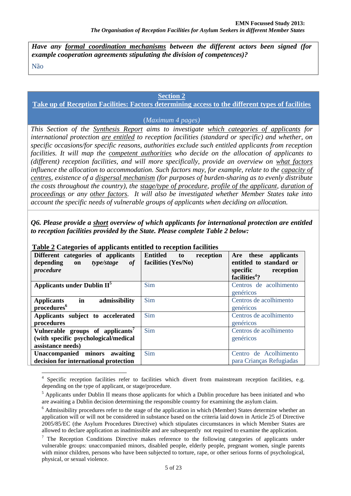*Have any formal coordination mechanisms between the different actors been signed (for example cooperation agreements stipulating the division of competences)?* 

Não

 $\overline{a}$ 

#### **Section 2**

#### **Take up of Reception Facilities: Factors determining access to the different types of facilities**

#### (*Maximum 4 pages)*

*This Section of the Synthesis Report aims to investigate which categories of applicants for international protection are entitled to reception facilities (standard or specific) and whether, on specific occasions/for specific reasons, authorities exclude such entitled applicants from reception facilities. It will map the competent authorities who decide on the allocation of applicants to (different) reception facilities, and will more specifically, provide an overview on what factors influence the allocation to accommodation. Such factors may, for example, relate to the capacity of centres, existence of a dispersal mechanism (for purposes of burden-sharing as to evenly distribute the costs throughout the country), the stage/type of procedure, profile of the applicant, duration of proceedings or any other factors. It will also be investigated whether Member States take into account the specific needs of vulnerable groups of applicants when deciding on allocation.* 

*Q6. Please provide a short overview of which applicants for international protection are entitled to reception facilities provided by the State. Please complete Table 2 below:*

| Different categories of applicants<br>type/stage<br>depending on<br>of<br>procedure                       | Entitled<br>reception<br>to<br>facilities (Yes/No) | Are these<br>applicants<br>entitled to standard or<br>specific<br>reception<br>facilities <sup>4</sup> ? |
|-----------------------------------------------------------------------------------------------------------|----------------------------------------------------|----------------------------------------------------------------------------------------------------------|
| <b>Applicants under Dublin II<sup>5</sup></b>                                                             | <b>Sim</b>                                         | Centros de acolhimento<br>genéricos                                                                      |
| in<br>admissibility<br><b>Applicants</b><br>procedures <sup>6</sup>                                       | Sim                                                | Centros de acolhimento<br>genéricos                                                                      |
| Applicants subject to accelerated<br>procedures                                                           | <b>Sim</b>                                         | Centros de acolhimento<br>genéricos                                                                      |
| Vulnerable groups of applicants <sup>7</sup><br>(with specific psychological/medical<br>assistance needs) | Sim                                                | Centros de acolhimento<br>genéricos                                                                      |
| Unaccompanied minors awaiting<br>decision for international protection                                    | Sim                                                | Centro de Acolhimento<br>para Crianças Refugiadas                                                        |

#### **Table 2 Categories of applicants entitled to reception facilities**

<sup>4</sup> Specific reception facilities refer to facilities which divert from mainstream reception facilities, e.g. depending on the type of applicant, or stage/procedure.

<sup>&</sup>lt;sup>5</sup> Applicants under Dublin II means those applicants for which a Dublin procedure has been initiated and who are awaiting a Dublin decision determining the responsible country for examining the asylum claim.

<sup>&</sup>lt;sup>6</sup> Admissibility procedures refer to the stage of the application in which (Member) States determine whether an application will or will not be considered in substance based on the criteria laid down in Article 25 of Directive 2005/85/EC (the Asylum Procedures Directive) which stipulates circumstances in which Member States are allowed to declare application as inadmissible and are subsequently not required to examine the application.

 $<sup>7</sup>$  The Reception Conditions Directive makes reference to the following categories of applicants under</sup> vulnerable groups: unaccompanied minors, disabled people, elderly people, pregnant women, single parents with minor children, persons who have been subjected to torture, rape, or other serious forms of psychological, physical, or sexual violence.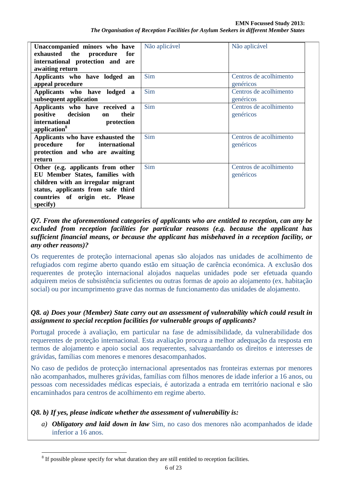| Unaccompanied minors who have<br>exhausted the procedure<br>for<br>international protection and are<br>awaiting return                                                                          | Não aplicável | Não aplicável                       |
|-------------------------------------------------------------------------------------------------------------------------------------------------------------------------------------------------|---------------|-------------------------------------|
| Applicants who have lodged an<br>appeal procedure                                                                                                                                               | Sim           | Centros de acolhimento<br>genéricos |
| Applicants who have lodged<br>$\mathbf{a}$<br>subsequent application                                                                                                                            | <b>Sim</b>    | Centros de acolhimento<br>genéricos |
| Applicants who have received a<br>positive decision<br>their<br>on<br>international<br>protection<br>application <sup>8</sup>                                                                   | Sim           | Centros de acolhimento<br>genéricos |
| Applicants who have exhausted the<br>for<br>procedure<br>international<br>protection and who are awaiting<br>return                                                                             | Sim           | Centros de acolhimento<br>genéricos |
| Other (e.g. applicants from other<br>EU Member States, families with<br>children with an irregular migrant<br>status, applicants from safe third<br>countries of origin etc. Please<br>specify) | Sim           | Centros de acolhimento<br>genéricos |

#### *Q7. From the aforementioned categories of applicants who are entitled to reception, can any be excluded from reception facilities for particular reasons (e.g. because the applicant has sufficient financial means, or because the applicant has misbehaved in a reception facility, or any other reasons)?*

Os requerentes de proteção internacional apenas são alojados nas unidades de acolhimento de refugiados com regime aberto quando estão em situação de carência económica. A exclusão dos requerentes de proteção internacional alojados naquelas unidades pode ser efetuada quando adquirem meios de subsistência suficientes ou outras formas de apoio ao alojamento (ex. habitação social) ou por incumprimento grave das normas de funcionamento das unidades de alojamento.

# *Q8. a) Does your (Member) State carry out an assessment of vulnerability which could result in assignment to special reception facilities for vulnerable groups of applicants?*

Portugal procede à avaliação, em particular na fase de admissibilidade, da vulnerabilidade dos requerentes de proteção internacional. Esta avaliação procura a melhor adequação da resposta em termos de alojamento e apoio social aos requerentes, salvaguardando os direitos e interesses de grávidas, famílias com menores e menores desacompanhados.

No caso de pedidos de protecção internacional apresentados nas fronteiras externas por menores não acompanhados, mulheres grávidas, famílias com filhos menores de idade inferior a 16 anos, ou pessoas com necessidades médicas especiais, é autorizada a entrada em território nacional e são encaminhados para centros de acolhimento em regime aberto.

# *Q8. b) If yes, please indicate whether the assessment of vulnerability is:*

 $\overline{a}$ 

*a) Obligatory and laid down in law* Sim, no caso dos menores não acompanhados de idade inferior a 16 anos.

 $8$  If possible please specify for what duration they are still entitled to reception facilities.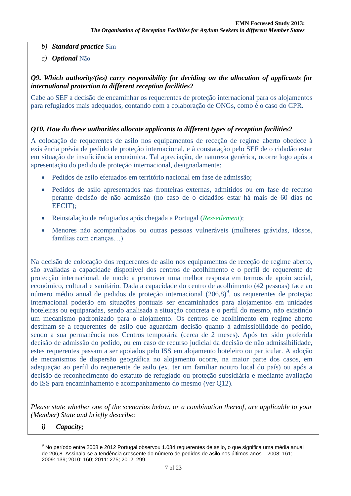- *b) Standard practice* Sim
- *c) Optional* Não

*Q9. Which authority/(ies) carry responsibility for deciding on the allocation of applicants for international protection to different reception facilities?* 

Cabe ao SEF a decisão de encaminhar os requerentes de proteção internacional para os alojamentos para refugiados mais adequados, contando com a colaboração de ONGs, como é o caso do CPR.

#### *Q10. How do these authorities allocate applicants to different types of reception facilities?*

A colocação de requerentes de asilo nos equipamentos de receção de regime aberto obedece à existência prévia de pedido de proteção internacional, e à constatação pelo SEF de o cidadão estar em situação de insuficiência económica. Tal apreciação, de natureza genérica, ocorre logo após a apresentação do pedido de proteção internacional, designadamente:

- Pedidos de asilo efetuados em território nacional em fase de admissão;
- Pedidos de asilo apresentados nas fronteiras externas, admitidos ou em fase de recurso perante decisão de não admissão (no caso de o cidadãos estar há mais de 60 dias no EECIT);
- Reinstalação de refugiados após chegada a Portugal (*Ressetlement*);
- Menores não acompanhados ou outras pessoas vulneráveis (mulheres grávidas, idosos, famílias com crianças…)

Na decisão de colocação dos requerentes de asilo nos equipamentos de receção de regime aberto, são avaliadas a capacidade disponível dos centros de acolhimento e o perfil do requerente de protecção internacional, de modo a promover uma melhor resposta em termos de apoio social, económico, cultural e sanitário. Dada a capacidade do centro de acolhimento (42 pessoas) face ao número médio anual de pedidos de proteção internacional  $(206,8)^9$ , os requerentes de proteção internacional poderão em situações pontuais ser encaminhados para alojamentos em unidades hoteleiras ou equiparadas, sendo analisada a situação concreta e o perfil do mesmo, não existindo um mecanismo padronizado para o alojamento. Os centros de acolhimento em regime aberto destinam-se a requerentes de asilo que aguardam decisão quanto à admissibilidade do pedido, sendo a sua permanência nos Centros temporária (cerca de 2 meses). Após ter sido proferida decisão de admissão do pedido, ou em caso de recurso judicial da decisão de não admissibilidade, estes requerentes passam a ser apoiados pelo ISS em alojamento hoteleiro ou particular. A adoção de mecanismos de dispersão geográfica no alojamento ocorre, na maior parte dos casos, em adequação ao perfil do requerente de asilo (ex. ter um familiar noutro local do país) ou após a decisão de reconhecimento do estatuto de refugiado ou proteção subsidiária e mediante avaliação do ISS para encaminhamento e acompanhamento do mesmo (ver Q12).

*Please state whether one of the scenarios below, or a combination thereof, are applicable to your (Member) State and briefly describe:* 

*i) Capacity;*

 $\overline{a}$ <sup>9</sup> No período entre 2008 e 2012 Portugal observou 1.034 requerentes de asilo, o que significa uma média anual de 206,8. Assinala-se a tendência crescente do número de pedidos de asilo nos últimos anos – 2008: 161; 2009: 139; 2010: 160; 2011: 275; 2012: 299.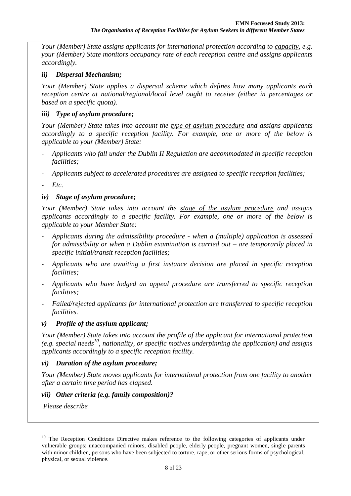*Your (Member) State assigns applicants for international protection according to capacity, e.g. your (Member) State monitors occupancy rate of each reception centre and assigns applicants accordingly.* 

#### *ii) Dispersal Mechanism;*

*Your (Member) State applies a dispersal scheme which defines how many applicants each reception centre at national/regional/local level ought to receive (either in percentages or based on a specific quota).* 

#### *iii) Type of asylum procedure;*

*Your (Member) State takes into account the type of asylum procedure and assigns applicants accordingly to a specific reception facility. For example, one or more of the below is applicable to your (Member) State:* 

- *Applicants who fall under the Dublin II Regulation are accommodated in specific reception facilities;*
- *Applicants subject to accelerated procedures are assigned to specific reception facilities;*
- *Etc.*

# *iv) Stage of asylum procedure;*

*Your (Member) State takes into account the stage of the asylum procedure and assigns applicants accordingly to a specific facility. For example, one or more of the below is applicable to your Member State:*

- *Applicants during the admissibility procedure - when a (multiple) application is assessed for admissibility or when a Dublin examination is carried out – are temporarily placed in specific initial/transit reception facilities;*
- *Applicants who are awaiting a first instance decision are placed in specific reception facilities;*
- *Applicants who have lodged an appeal procedure are transferred to specific reception facilities;*
- *Failed/rejected applicants for international protection are transferred to specific reception facilities.*

#### *v) Profile of the asylum applicant;*

*Your (Member) State takes into account the profile of the applicant for international protection (e.g. special needs<sup>10</sup>, nationality, or specific motives underpinning the application) and assigns applicants accordingly to a specific reception facility.* 

#### *vi) Duration of the asylum procedure;*

*Your (Member) State moves applicants for international protection from one facility to another after a certain time period has elapsed.* 

#### *vii) Other criteria (e.g. family composition)?*

*Please describe*

<sup>&</sup>lt;sup>10</sup> The Reception Conditions Directive makes reference to the following categories of applicants under vulnerable groups: unaccompanied minors, disabled people, elderly people, pregnant women, single parents with minor children, persons who have been subjected to torture, rape, or other serious forms of psychological, physical, or sexual violence.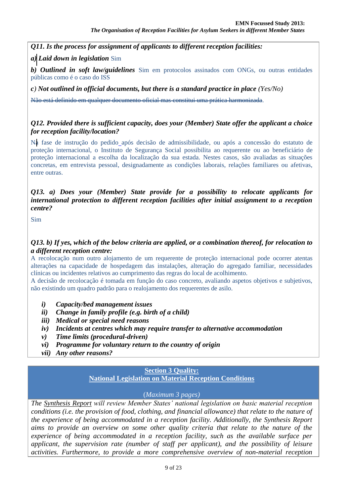*Q11. Is the process for assignment of applicants to different reception facilities:*

*a) Laid down in legislation* Sim

*b) Outlined in soft law/guidelines* Sim em protocolos assinados com ONGs, ou outras entidades públicas como é o caso do ISS

*c) Not outlined in official documents, but there is a standard practice in place (Yes/No)*

Não está definido em qualquer documento oficial mas constitui uma prática harmonizada.

#### *Q12. Provided there is sufficient capacity, does your (Member) State offer the applicant a choice for reception facility/location?*

Na fase de instrução do pedido após decisão de admissibilidade, ou após a concessão do estatuto de proteção internacional, o Instituto de Segurança Social possibilita ao requerente ou ao beneficiário de proteção internacional a escolha da localização da sua estada. Nestes casos, são avaliadas as situações concretas, em entrevista pessoal, designadamente as condições laborais, relações familiares ou afetivas, entre outras.

#### *Q13. a) Does your (Member) State provide for a possibility to relocate applicants for international protection to different reception facilities after initial assignment to a reception centre?*

Sim

#### *Q13. b) If yes, which of the below criteria are applied, or a combination thereof, for relocation to a different reception centre:*

A recolocação num outro alojamento de um requerente de proteção internacional pode ocorrer atentas alterações na capacidade de hospedagem das instalações, alteração do agregado familiar, necessidades clínicas ou incidentes relativos ao cumprimento das regras do local de acolhimento.

A decisão de recolocação é tomada em função do caso concreto, avaliando aspetos objetivos e subjetivos, não existindo um quadro padrão para o realojamento dos requerentes de asilo.

- *i) Capacity/bed management issues*
- *ii) Change in family profile (e.g. birth of a child)*
- *iii) Medical or special need reasons*
- *iv) Incidents at centres which may require transfer to alternative accommodation*
- *v) Time limits (procedural-driven)*
- *vi) Programme for voluntary return to the country of origin*
- *vii) Any other reasons?*

# **Section 3 Quality:**

**National Legislation on Material Reception Conditions**

#### (*Maximum 3 pages)*

*The Synthesis Report will review Member States' national legislation on basic material reception conditions (i.e. the provision of food, clothing, and financial allowance) that relate to the nature of the experience of being accommodated in a reception facility. Additionally, the Synthesis Report aims to provide an overview on some other quality criteria that relate to the nature of the experience of being accommodated in a reception facility, such as the available surface per applicant, the supervision rate (number of staff per applicant), and the possibility of leisure activities. Furthermore, to provide a more comprehensive overview of non-material reception*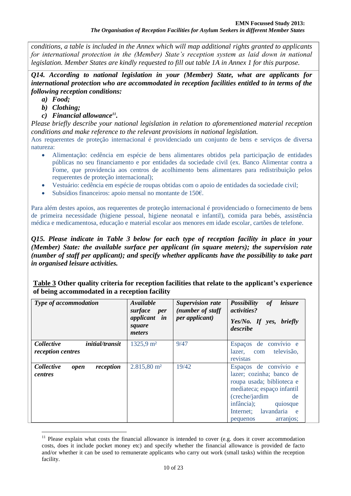*conditions, a table is included in the Annex which will map additional rights granted to applicants*  for international protection in the (Member) State's reception system as laid down in national *legislation. Member States are kindly requested to fill out table 1A in Annex 1 for this purpose.* 

*Q14. According to national legislation in your (Member) State, what are applicants for international protection who are accommodated in reception facilities entitled to in terms of the following reception conditions:*

- *a) Food;*
- *b) Clothing;*
- *c) Financial allowance<sup>11</sup> .*

*Please briefly describe your national legislation in relation to aforementioned material reception conditions and make reference to the relevant provisions in national legislation.* 

Aos requerentes de proteção internacional é providenciado um conjunto de bens e serviços de diversa natureza:

- Alimentação: cedência em espécie de bens alimentares obtidos pela participação de entidades públicas no seu financiamento e por entidades da sociedade civil (ex. Banco Alimentar contra a Fome, que providencia aos centros de acolhimento bens alimentares para redistribuição pelos requerentes de proteção internacional);
- Vestuário: cedência em espécie de roupas obtidas com o apoio de entidades da sociedade civil;
- Subsídios financeiros: apoio mensal no montante de 150€.

Para além destes apoios, aos requerentes de proteção internacional é providenciado o fornecimento de bens de primeira necessidade (higiene pessoal, higiene neonatal e infantil), comida para bebés, assistência médica e medicamentosa, educação e material escolar aos menores em idade escolar, cartões de telefone.

*Q15. Please indicate in Table 3 below for each type of reception facility in place in your (Member) State: the available surface per applicant (in square meters); the supervision rate (number of staff per applicant); and specify whether applicants have the possibility to take part in organised leisure activities.* 

**Table 3 Other quality criteria for reception facilities that relate to the applicant's experience of being accommodated in a reception facility** 

| Type of accommodation                                            | Available<br>surface<br><i>per</i><br>applicant in<br>square<br>meters | <b>Supervision rate</b><br>(number of staff<br>per applicant) | leisure<br><b>Possibility</b><br>of<br>activities?<br>Yes/No. If yes, briefly<br>describe                                                                                                                       |  |
|------------------------------------------------------------------|------------------------------------------------------------------------|---------------------------------------------------------------|-----------------------------------------------------------------------------------------------------------------------------------------------------------------------------------------------------------------|--|
| <i>Collective</i><br><i>initial/transit</i><br>reception centres | $1325,9 \text{ m}^2$                                                   | 9/47                                                          | Espaços de convívio e<br>lazer, com televisão,<br>revistas                                                                                                                                                      |  |
| Collective<br>reception<br>open<br>centres                       | $2.815,80 \text{ m}^2$                                                 | 19/42                                                         | Espaços de convívio e<br>lazer; cozinha; banco de<br>roupa usada; biblioteca e<br>mediateca; espaço infantil<br>(creche/jardim)<br>de<br>infância); quiosque<br>Internet; lavandaria e<br>arranjos:<br>pequenos |  |

 $\overline{a}$ <sup>11</sup> Please explain what costs the financial allowance is intended to cover (e.g. does it cover accommodation costs, does it include pocket money etc) and specify whether the financial allowance is provided de facto and/or whether it can be used to remunerate applicants who carry out work (small tasks) within the reception facility.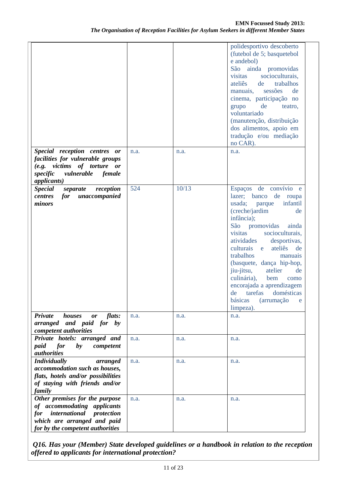|                                                                                                                                                                     |      |       | polidesportivo descoberto<br>(futebol de 5; basquetebol<br>e andebol)<br>São ainda promovidas<br>socioculturais,<br>visitas<br>trabalhos<br>ateliês<br>de<br>sessões<br>de<br>manuais,<br>cinema, participação no<br>grupo<br>de<br>teatro,<br>voluntariado<br>(manutenção, distribuição<br>dos alimentos, apoio em<br>tradução e/ou mediação<br>no CAR).                                                                                                                  |
|---------------------------------------------------------------------------------------------------------------------------------------------------------------------|------|-------|----------------------------------------------------------------------------------------------------------------------------------------------------------------------------------------------------------------------------------------------------------------------------------------------------------------------------------------------------------------------------------------------------------------------------------------------------------------------------|
| Special reception centres<br>or<br>facilities for vulnerable groups<br>(e.g. victims of torture or<br>vulnerable<br>specific<br>female<br><i>applicants</i> )       | n.a. | n.a.  | n.a.                                                                                                                                                                                                                                                                                                                                                                                                                                                                       |
| <b>Special</b><br>reception<br>separate<br>for<br>unaccompanied<br>centres<br>minors                                                                                | 524  | 10/13 | Espaços de convívio e<br>lazer; banco de roupa<br>infantil<br>usada;<br>parque<br>(creche/jardim<br>de<br>infância);<br>São<br>promovidas<br>ainda<br>socioculturais,<br>visitas<br>atividades<br>desportivas,<br>culturais<br>ateliês<br>de<br>e<br>trabalhos<br>manuais<br>(basquete, dança hip-hop,<br>jiu-jitsu,<br>atelier<br>de<br>culinária),<br>bem<br>como<br>encorajada a aprendizagem<br>tarefas<br>domésticas<br>de<br>básicas<br>(arrumação<br>e<br>limpeza). |
| Private<br>houses<br>flats:<br>or<br>arranged and paid for by<br>competent authorities                                                                              | n.a. | n.a.  | n.a.                                                                                                                                                                                                                                                                                                                                                                                                                                                                       |
| Private hotels: arranged and<br>for<br>paid<br>$\mathbf{b}\mathbf{v}$<br>competent<br><i>authorities</i>                                                            | n.a. | n.a.  | n.a.                                                                                                                                                                                                                                                                                                                                                                                                                                                                       |
| <b>Individually</b><br>arranged<br>accommodation such as houses,<br>flats, hotels and/or possibilities<br>of staying with friends and/or<br>family                  | n.a. | n.a.  | n.a.                                                                                                                                                                                                                                                                                                                                                                                                                                                                       |
| Other premises for the purpose<br>of accommodating applicants<br>international protection<br>for<br>which are arranged and paid<br>for by the competent authorities | n.a. | n.a.  | n.a.                                                                                                                                                                                                                                                                                                                                                                                                                                                                       |

*Q16. Has your (Member) State developed guidelines or a handbook in relation to the reception offered to applicants for international protection?*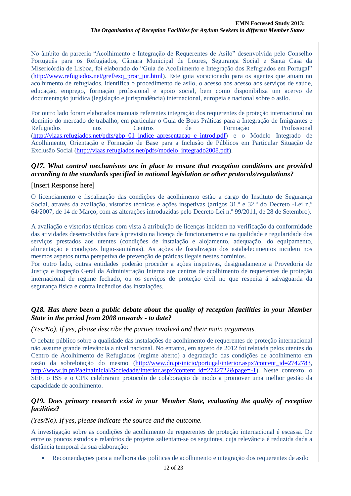No âmbito da parceria "Acolhimento e Integração de Requerentes de Asilo" desenvolvida pelo Conselho Português para os Refugiados, Câmara Municipal de Loures, Segurança Social e Santa Casa da Misericórdia de Lisboa, foi elaborado do "Guia de Acolhimento e Integração dos Refugiados em Portugal" [\(http://www.refugiados.net/gref/esq\\_proc\\_jur.html\)](http://www.refugiados.net/gref/esq_proc_jur.html). Este guia vocacionado para os agentes que atuam no acolhimento de refugiados, identifica o procedimento de asilo, o acesso aos acesso aos serviços de saúde, educação, emprego, formação profissional e apoio social, bem como disponibiliza um acervo de documentação jurídica (legislação e jurisprudência) internacional, europeia e nacional sobre o asilo.

Por outro lado foram elaborados manuais referentes integração dos requerentes de proteção internacional no domínio do mercado de trabalho, em particular o Guia de Boas Práticas para a Integração de Imigrantes e Refugiados nos Centros de Formação Profissional [\(http://viaas.refugiados.net/pdfs/gbp\\_01\\_indice\\_apresentacao\\_e\\_introd.pdf\)](http://viaas.refugiados.net/pdfs/gbp_01_indice_apresentacao_e_introd.pdf) e o Modelo Integrado de Acolhimento, Orientação e Formação de Base para a Inclusão de Públicos em Particular Situação de Exclusão Social [\(http://viaas.refugiados.net/pdfs/modelo\\_integrado2008.pdf\)](http://viaas.refugiados.net/pdfs/modelo_integrado2008.pdf).

#### *Q17. What control mechanisms are in place to ensure that reception conditions are provided according to the standards specified in national legislation or other protocols/regulations?*

#### [Insert Response here]

O licenciamento e fiscalização das condições de acolhimento estão a cargo do Instituto de Segurança Social, através da avaliação, vistorias técnicas e ações inspetivas (artigos 31.º e 32.º do Decreto -Lei n.º 64/2007, de 14 de Março, com as alterações introduzidas pelo Decreto-Lei n.º 99/2011, de 28 de Setembro).

A avaliação e vistorias técnicas com vista à atribuição de licenças incidem na verificação da conformidade das atividades desenvolvidas face à previsão na licença de funcionamento e na qualidade e regularidade dos serviços prestados aos utentes (condições de instalação e alojamento, adequação, do equipamento, alimentação e condições higio-sanitárias). As ações de fiscalização dos estabelecimentos incidem nos mesmos aspetos numa perspetiva de prevenção de práticas ilegais nestes domínios.

Por outro lado, outras entidades poderão proceder a ações inspetivas, designadamente a Provedoria de Justiça e Inspeção Geral da Administração Interna aos centros de acolhimento de requerentes de proteção internacional de regime fechado, ou os serviços de proteção civil no que respeita á salvaguarda da segurança física e contra incêndios das instalações.

#### *Q18. Has there been a public debate about the quality of reception facilities in your Member State in the period from 2008 onwards - to date?*

#### *(Yes/No). If yes, please describe the parties involved and their main arguments.*

O debate público sobre a qualidade das instalações de acolhimento de requerentes de proteção internacional não assume grande relevância a nível nacional. No entanto, em agosto de 2012 foi relatada pelos utentes do Centro de Acolhimento de Refugiados (regime aberto) a degradação das condições de acolhimento em razão da sobrelotação do mesmo [\(http://www.dn.pt/inicio/portugal/interior.aspx?content\\_id=2742783,](http://www.dn.pt/inicio/portugal/interior.aspx?content_id=2742783) [http://www.jn.pt/PaginaInicial/Sociedade/Interior.aspx?content\\_id=2742722&page=-1\)](http://www.jn.pt/PaginaInicial/Sociedade/Interior.aspx?content_id=2742722&page=-1). Neste contexto, o SEF, o ISS e o CPR celebraram protocolo de colaboração de modo a promover uma melhor gestão da capacidade de acolhimento.

#### *Q19. Does primary research exist in your Member State, evaluating the quality of reception facilities?*

*(Yes/No). If yes, please indicate the source and the outcome.* 

A investigação sobre as condições de acolhimento de requerentes de proteção internacional é escassa. De entre os poucos estudos e relatórios de projetos salientam-se os seguintes, cuja relevância é reduzida dada a distância temporal da sua elaboração:

Recomendações para a melhoria das políticas de acolhimento e integração dos requerentes de asilo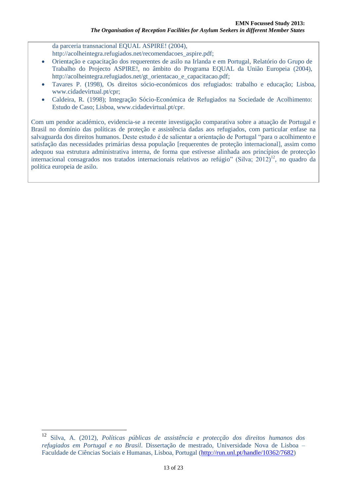da parceria transnacional EQUAL ASPIRE! (2004), http://acolheintegra.refugiados.net/recomendacoes\_aspire.pdf;

- Orientação e capacitação dos requerentes de asilo na Irlanda e em Portugal, Relatório do Grupo de Trabalho do Projecto ASPIRE!, no âmbito do Programa EQUAL da União Europeia (2004), http://acolheintegra.refugiados.net/gt\_orientacao\_e\_capacitacao.pdf;
- Tavares P. (1998), Os direitos sócio-económicos dos refugiados: trabalho e educação; Lisboa, www.cidadevirtual.pt/cpr;
- Caldeira, R. (1998); Integração Sócio-Económica de Refugiados na Sociedade de Acolhimento: Estudo de Caso; Lisboa, www.cidadevirtual.pt/cpr.

Com um pendor académico, evidencia-se a recente investigação comparativa sobre a atuação de Portugal e Brasil no domínio das políticas de proteção e assistência dadas aos refugiados, com particular enfase na salvaguarda dos direitos humanos. Deste estudo é de salientar a orientação de Portugal "para o acolhimento e satisfação das necessidades primárias dessa população [requerentes de proteção internacional], assim como adequou sua estrutura administrativa interna, de forma que estivesse alinhada aos princípios de protecção internacional consagrados nos tratados internacionais relativos ao refúgio" (Silva; 2012)<sup>12</sup>, no quadro da política europeia de asilo.

<sup>12</sup> Silva, A. (2012), *Políticas públicas de assistência e protecção dos direitos humanos dos refugiados em Portugal e no Brasil*. Dissertação de mestrado, Universidade Nova de Lisboa – Faculdade de Ciências Sociais e Humanas, Lisboa, Portugal [\(http://run.unl.pt/handle/10362/7682\)](http://run.unl.pt/handle/10362/7682)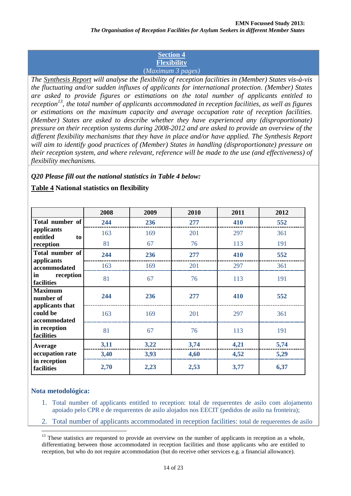#### **Section 4 Flexibility** (*Maximum 3 pages)*

*The Synthesis Report will analyse the flexibility of reception facilities in (Member) States vis-à-vis the fluctuating and/or sudden influxes of applicants for international protection. (Member) States are asked to provide figures or estimations on the total number of applicants entitled to reception<sup>13</sup>, the total number of applicants accommodated in reception facilities, as well as figures or estimations on the maximum capacity and average occupation rate of reception facilities. (Member) States are asked to describe whether they have experienced any (disproportionate) pressure on their reception systems during 2008-2012 and are asked to provide an overview of the different flexibility mechanisms that they have in place and/or have applied. The Synthesis Report will aim to identify good practices of (Member) States in handling (disproportionate) pressure on their reception system, and where relevant, reference will be made to the use (and effectiveness) of flexibility mechanisms.* 

# *Q20 Please fill out the national statistics in Table 4 below:*

|                                             | 2008 | 2009 | 2010 | 2011 | 2012 |
|---------------------------------------------|------|------|------|------|------|
| Total number of                             | 244  | 236  | 277  | 410  | 552  |
| applicants<br>entitled<br>to                | 163  | 169  | 201  | 297  | 361  |
| reception                                   | 81   | 67   | 76   | 113  | 191  |
| Total number of                             | 244  | 236  | 277  | 410  | 552  |
| applicants<br>accommodated                  | 163  | 169  | 201  | 297  | 361  |
| reception<br>in<br>facilities               | 81   | 67   | 76   | 113  | 191  |
| <b>Maximum</b><br>number of                 | 244  | 236  | 277  | 410  | 552  |
| applicants that<br>could be<br>accommodated | 163  | 169  | 201  | 297  | 361  |
| in reception<br>facilities                  | 81   | 67   | 76   | 113  | 191  |
| Average                                     | 3,11 | 3,22 | 3,74 | 4,21 | 5,74 |
| occupation rate                             | 3,40 | 3,93 | 4,60 | 4,52 | 5,29 |
| in reception<br>facilities                  | 2,70 | 2,23 | 2,53 | 3,77 | 6,37 |

# **Table 4 National statistics on flexibility**

#### **Nota metodológica:**

- 1. Total number of applicants entitled to reception: total de requerentes de asilo com alojamento apoiado pelo CPR e de requerentes de asilo alojados nos EECIT (pedidos de asilo na fronteira);
- 2. Total number of applicants accommodated in reception facilities: total de requerentes de asilo

<sup>&</sup>lt;sup>13</sup> These statistics are requested to provide an overview on the number of applicants in reception as a whole, differentiating between those accommodated in reception facilities and those applicants who are entitled to reception, but who do not require accommodation (but do receive other services e.g. a financial allowance).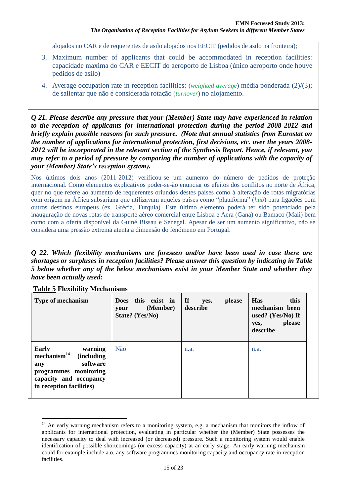alojados no CAR e de requerentes de asilo alojados nos EECIT (pedidos de asilo na fronteira);

- 3. Maximum number of applicants that could be accommodated in reception facilities: capacidade maxima do CAR e EECIT do aeroporto de Lisboa (único aeroporto onde houve pedidos de asilo)
- 4. Average occupation rate in reception facilities: (*weighted average*) média ponderada (2)/(3); de salientar que não é considerada rotação (*turnover*) no alojamento.

*Q 21. Please describe any pressure that your (Member) State may have experienced in relation to the reception of applicants for international protection during the period 2008-2012 and briefly explain possible reasons for such pressure. (Note that annual statistics from Eurostat on the number of applications for international protection, first decisions, etc. over the years 2008- 2012 will be incorporated in the relevant section of the Synthesis Report. Hence, if relevant, you may refer to a period of pressure by comparing the number of applications with the capacity of your (Member) State's reception system).* 

Nos últimos dois anos (2011-2012) verificou-se um aumento do número de pedidos de proteção internacional. Como elementos explicativos poder-se-ão enunciar os efeitos dos conflitos no norte de África, quer no que refere ao aumento de requerentes oriundos destes países como à alteração de rotas migratórias com origem na África subsariana que utilizavam aqueles países como "plataforma" (*hub*) para ligações com outros destinos europeus (ex. Grécia, Turquia). Este último elemento poderá ter sido potenciado pela inauguração de novas rotas de transporte aéreo comercial entre Lisboa e Acra (Gana) ou Bamaco (Mali) bem como com a oferta disponível da Guiné Bissau e Senegal. Apesar de ser um aumento significativo, não se considera uma pressão extrema atenta a dimensão do fenómeno em Portugal.

*Q 22. Which flexibility mechanisms are foreseen and/or have been used in case there are shortages or surpluses in reception facilities? Please answer this question by indicating in Table 5 below whether any of the below mechanisms exist in your Member State and whether they have been actually used:*

| <b>Type of mechanism</b>                                                                                                                                                   | Does this exist in<br>(Member)<br>your<br>State? (Yes/No) | $\mathbf{H}$<br>please<br>yes,<br>describe | <b>Has</b><br>this<br>mechanism been<br>used? $(Yes/No)$ If<br>please<br>yes,<br>describe |
|----------------------------------------------------------------------------------------------------------------------------------------------------------------------------|-----------------------------------------------------------|--------------------------------------------|-------------------------------------------------------------------------------------------|
| <b>Early</b><br>warning<br>mechanism <sup>14</sup><br><i>(including)</i><br>software<br>any<br>programmes monitoring<br>capacity and occupancy<br>in reception facilities) | Não                                                       | n.a.                                       | n.a.                                                                                      |

**Table 5 Flexibility Mechanisms**

<sup>&</sup>lt;sup>14</sup> An early warning mechanism refers to a monitoring system, e.g. a mechanism that monitors the inflow of applicants for international protection, evaluating in particular whether the (Member) State possesses the necessary capacity to deal with increased (or decreased) pressure. Such a monitoring system would enable identification of possible shortcomings (or excess capacity) at an early stage. An early warning mechanism could for example include a.o. any software programmes monitoring capacity and occupancy rate in reception facilities.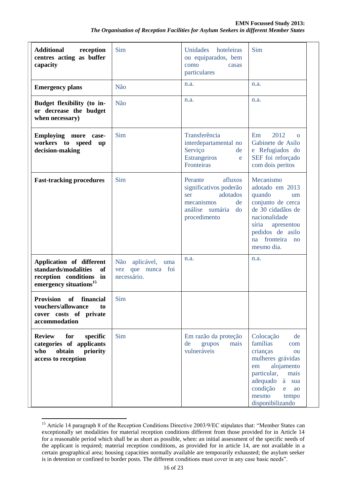| <b>Additional</b><br>reception<br>centres acting as buffer<br>capacity                                                             | Sim                                                       | Unidades<br>hoteleiras<br>ou equiparados, bem<br>como<br>casas<br>particulares                                               | Sim                                                                                                                                                                                                       |
|------------------------------------------------------------------------------------------------------------------------------------|-----------------------------------------------------------|------------------------------------------------------------------------------------------------------------------------------|-----------------------------------------------------------------------------------------------------------------------------------------------------------------------------------------------------------|
| <b>Emergency plans</b>                                                                                                             | Não                                                       | n.a.                                                                                                                         | n.a.                                                                                                                                                                                                      |
| Budget flexibility (to in-<br>or decrease the budget<br>when necessary)                                                            | Não                                                       | n.a.                                                                                                                         | n.a.                                                                                                                                                                                                      |
| Employing more case-<br>workers to speed<br>up<br>decision-making                                                                  | Sim                                                       | Transferência<br>interdepartamental no<br>Serviço<br>de<br><b>Estrangeiros</b><br>e<br><b>Fronteiras</b>                     | 2012<br>Em<br>$\Omega$<br>Gabinete de Asilo<br>e Refugiados do<br>SEF foi reforçado<br>com dois peritos                                                                                                   |
| <b>Fast-tracking procedures</b>                                                                                                    | Sim                                                       | afluxos<br>Perante<br>significativos poderão<br>adotados<br>ser<br>mecanismos<br>de<br>análise sumária<br>do<br>procedimento | Mecanismo<br>adotado em 2013<br>quando<br>um<br>conjunto de cerca<br>de 30 cidadãos de<br>nacionalidade<br>síria<br>apresentou<br>pedidos de asilo<br>fronteira<br>na<br>no<br>mesmo dia.                 |
| Application of different<br>standards/modalities<br><sub>of</sub><br>reception conditions in<br>emergency situations <sup>15</sup> | Não aplicável,<br>uma<br>vez que nunca foi<br>necessário. | n.a.                                                                                                                         | n.a.                                                                                                                                                                                                      |
| Provision of financial<br>vouchers/allowance<br>to<br>cover costs of private<br>accommodation                                      | Sim                                                       |                                                                                                                              |                                                                                                                                                                                                           |
| <b>Review</b><br>for<br>specific<br>categories of applicants<br>who<br>obtain<br>priority<br>access to reception                   | Sim                                                       | Em razão da proteção<br>de<br>grupos<br>mais<br>vulneráveis                                                                  | Colocação<br>de<br>famílias<br>com<br>crianças<br>ou<br>mulheres grávidas<br>alojamento<br>em<br>particular,<br>mais<br>adequado<br>à<br>sua<br>condição<br>ao<br>e<br>mesmo<br>tempo<br>disponibilizando |

 $\overline{a}$ <sup>15</sup> Article 14 paragraph 8 of the Reception Conditions Directive 2003/9/EC stipulates that: "Member States can exceptionally set modalities for material reception conditions different from those provided for in Article 14 for a reasonable period which shall be as short as possible, when: an initial assessment of the specific needs of the applicant is required; material reception conditions, as provided for in article 14, are not available in a certain geographical area; housing capacities normally available are temporarily exhausted; the asylum seeker is in detention or confined to border posts. The different conditions must cover in any case basic needs".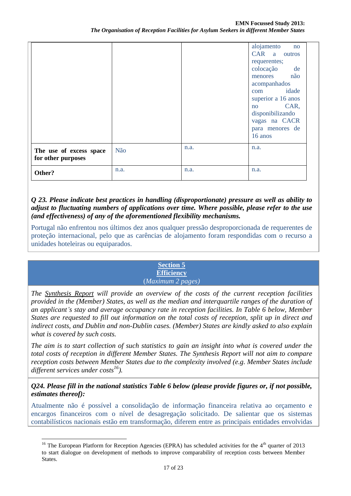|                                               |      |      | alojamento<br>no<br>CAR a outros<br>requerentes;<br>colocação de<br>menores não<br>acompanhados<br>com idade<br>superior a 16 anos<br>CAR,<br>no<br>disponibilizando<br>vagas na CACR<br>para menores de<br>16 anos |
|-----------------------------------------------|------|------|---------------------------------------------------------------------------------------------------------------------------------------------------------------------------------------------------------------------|
| The use of excess space<br>for other purposes | Não  | n.a. | n.a.                                                                                                                                                                                                                |
| Other?                                        | n.a. | n.a. | n.a.                                                                                                                                                                                                                |

*Q 23. Please indicate best practices in handling (disproportionate) pressure as well as ability to adjust to fluctuating numbers of applications over time. Where possible, please refer to the use (and effectiveness) of any of the aforementioned flexibility mechanisms.*

Portugal não enfrentou nos últimos dez anos qualquer pressão desproporcionada de requerentes de proteção internacional, pelo que as carências de alojamento foram respondidas com o recurso a unidades hoteleiras ou equiparados.

> **Section 5 Efficiency** (*Maximum 2 pages)*

*The Synthesis Report will provide an overview of the costs of the current reception facilities provided in the (Member) States, as well as the median and interquartile ranges of the duration of an applicant's stay and average occupancy rate in reception facilities. In Table 6 below, Member States are requested to fill out information on the total costs of reception, split up in direct and indirect costs, and Dublin and non-Dublin cases. (Member) States are kindly asked to also explain what is covered by such costs.* 

*The aim is to start collection of such statistics to gain an insight into what is covered under the total costs of reception in different Member States. The Synthesis Report will not aim to compare reception costs between Member States due to the complexity involved (e.g. Member States include different services under costs<sup>16</sup>).* 

*Q24. Please fill in the national statistics Table 6 below (please provide figures or, if not possible, estimates thereof):*

Atualmente não é possível a consolidação de informação financeira relativa ao orçamento e encargos financeiros com o nível de desagregação solicitado. De salientar que os sistemas contabilísticos nacionais estão em transformação, diferem entre as principais entidades envolvidas

 $\overline{a}$ <sup>16</sup> The European Platform for Reception Agencies (EPRA) has scheduled activities for the  $4<sup>th</sup>$  quarter of 2013 to start dialogue on development of methods to improve comparability of reception costs between Member States.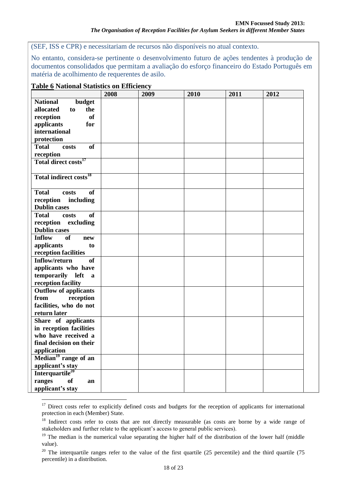(SEF, ISS e CPR) e necessitariam de recursos não disponíveis no atual contexto.

No entanto, considera-se pertinente o desenvolvimento futuro de ações tendentes à produção de documentos consolidados que permitam a avaliação do esforço financeiro do Estado Português em matéria de acolhimento de requerentes de asilo.

| able of validatal blatibiles on Emicrone           | 2008 | 2009 | 2010 | 2011 | 2012 |
|----------------------------------------------------|------|------|------|------|------|
| <b>National</b><br>budget                          |      |      |      |      |      |
| allocated<br>the<br>to                             |      |      |      |      |      |
| of<br>reception                                    |      |      |      |      |      |
| applicants<br>for                                  |      |      |      |      |      |
| international                                      |      |      |      |      |      |
| protection                                         |      |      |      |      |      |
| <b>Total</b><br>of<br>costs                        |      |      |      |      |      |
| reception                                          |      |      |      |      |      |
| Total direct costs <sup>17</sup>                   |      |      |      |      |      |
|                                                    |      |      |      |      |      |
| Total indirect costs <sup>18</sup>                 |      |      |      |      |      |
|                                                    |      |      |      |      |      |
| <b>Total</b><br><b>of</b><br>costs                 |      |      |      |      |      |
| reception<br>including                             |      |      |      |      |      |
| <b>Dublin cases</b>                                |      |      |      |      |      |
| <b>Total</b><br>costs<br><b>of</b>                 |      |      |      |      |      |
| reception excluding                                |      |      |      |      |      |
| <b>Dublin cases</b>                                |      |      |      |      |      |
| <b>Inflow</b><br>of<br>new                         |      |      |      |      |      |
| applicants<br>to                                   |      |      |      |      |      |
| reception facilities                               |      |      |      |      |      |
| Inflow/return<br><b>of</b>                         |      |      |      |      |      |
| applicants who have                                |      |      |      |      |      |
| temporarily left                                   |      |      |      |      |      |
| $\mathbf{a}$                                       |      |      |      |      |      |
| reception facility<br><b>Outflow of applicants</b> |      |      |      |      |      |
|                                                    |      |      |      |      |      |
| reception<br>from                                  |      |      |      |      |      |
| facilities, who do not                             |      |      |      |      |      |
| return later                                       |      |      |      |      |      |
| Share of applicants                                |      |      |      |      |      |
| in reception facilities                            |      |      |      |      |      |
| who have received a                                |      |      |      |      |      |
| final decision on their                            |      |      |      |      |      |
| application                                        |      |      |      |      |      |
| Median <sup>19</sup> range of an                   |      |      |      |      |      |
| applicant's stay                                   |      |      |      |      |      |
| Interquartile <sup>20</sup>                        |      |      |      |      |      |
| ranges<br>of<br>an                                 |      |      |      |      |      |
| applicant's stay                                   |      |      |      |      |      |

#### **Table 6 National Statistics on Efficiency**

<sup>&</sup>lt;sup>17</sup> Direct costs refer to explicitly defined costs and budgets for the reception of applicants for international protection in each (Member) State.

<sup>&</sup>lt;sup>18</sup> Indirect costs refer to costs that are not directly measurable (as costs are borne by a wide range of stakeholders and further relate to the applicant's access to general public services).

<sup>&</sup>lt;sup>19</sup> The median is the numerical value separating the higher half of the distribution of the lower half (middle value).

 $20$  The interquartile ranges refer to the value of the first quartile (25 percentile) and the third quartile (75 percentile) in a distribution.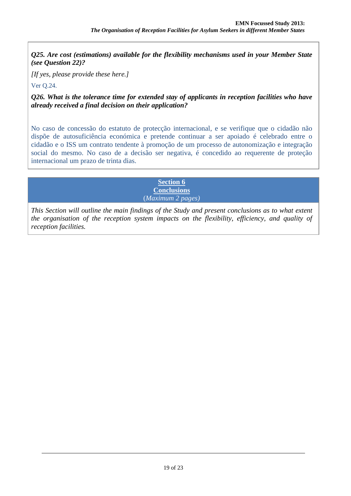*Q25. Are cost (estimations) available for the flexibility mechanisms used in your Member State (see Question 22)?*

*[If yes, please provide these here.]*

Ver Q.24.

 $\overline{a}$ 

*Q26. What is the tolerance time for extended stay of applicants in reception facilities who have already received a final decision on their application?*

No caso de concessão do estatuto de protecção internacional, e se verifique que o cidadão não dispõe de autosuficiência económica e pretende continuar a ser apoiado é celebrado entre o cidadão e o ISS um contrato tendente à promoção de um processo de autonomização e integração social do mesmo. No caso de a decisão ser negativa, é concedido ao requerente de proteção internacional um prazo de trinta dias.

> **Section 6 Conclusions** (*Maximum 2 pages)*

*This Section will outline the main findings of the Study and present conclusions as to what extent the organisation of the reception system impacts on the flexibility, efficiency, and quality of reception facilities.*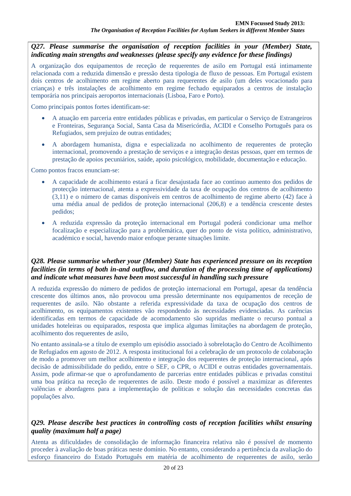*Q27. Please summarise the organisation of reception facilities in your (Member) State, indicating main strengths and weaknesses (please specify any evidence for these findings)*

A organização dos equipamentos de receção de requerentes de asilo em Portugal está intimamente relacionada com a reduzida dimensão e pressão desta tipologia de fluxo de pessoas. Em Portugal existem dois centros de acolhimento em regime aberto para requerentes de asilo (um deles vocacionado para crianças) e três instalações de acolhimento em regime fechado equiparados a centros de instalação temporária nos principais aeroportos internacionais (Lisboa, Faro e Porto).

Como principais pontos fortes identificam-se:

- A atuação em parceria entre entidades públicas e privadas, em particular o Serviço de Estrangeiros e Fronteiras, Segurança Social, Santa Casa da Misericórdia, ACIDI e Conselho Português para os Refugiados, sem prejuízo de outras entidades;
- A abordagem humanista, digna e especializada no acolhimento de requerentes de proteção internacional, promovendo a prestação de serviços e a integração destas pessoas, quer em termos de prestação de apoios pecuniários, saúde, apoio psicológico, mobilidade, documentação e educação.

Como pontos fracos enunciam-se:

- A capacidade de acolhimento estará a ficar desajustada face ao contínuo aumento dos pedidos de protecção internacional, atenta a expressividade da taxa de ocupação dos centros de acolhimento (3,11) e o número de camas disponíveis em centros de acolhimento de regime aberto (42) face à uma média anual de pedidos de proteção internacional (206,8) e a tendência crescente destes pedidos;
- A reduzida expressão da proteção internacional em Portugal poderá condicionar uma melhor focalização e especialização para a problemática, quer do ponto de vista político, administrativo, académico e social, havendo maior enfoque perante situações limite.

#### *Q28. Please summarise whether your (Member) State has experienced pressure on its reception facilities (in terms of both in-and outflow, and duration of the processing time of applications) and indicate what measures have been most successful in handling such pressure*

A reduzida expressão do número de pedidos de proteção internacional em Portugal, apesar da tendência crescente dos últimos anos, não provocou uma pressão determinante nos equipamentos de receção de requerentes de asilo. Não obstante a referida expressividade da taxa de ocupação dos centros de acolhimento, os equipamentos existentes vão respondendo às necessidades evidenciadas. As carências identificadas em termos de capacidade de acomodamento são supridas mediante o recurso pontual a unidades hoteleiras ou equiparados, resposta que implica algumas limitações na abordagem de proteção, acolhimento dos requerentes de asilo,

No entanto assinala-se a título de exemplo um episódio associado à sobrelotação do Centro de Acolhimento de Refugiados em agosto de 2012. A resposta institucional foi a celebração de um protocolo de colaboração de modo a promover um melhor acolhimento e integração dos requerentes de proteção internacional, após decisão de admissibilidade do pedido, entre o SEF, o CPR, o ACIDI e outras entidades governamentais. Assim, pode afirmar-se que o aprofundamento de parcerias entre entidades públicas e privadas constitui uma boa prática na receção de requerentes de asilo. Deste modo é possível a maximizar as diferentes valências e abordagens para a implementação de políticas e solução das necessidades concretas das populações alvo.

# *Q29. Please describe best practices in controlling costs of reception facilities whilst ensuring quality (maximum half a page)*

Atenta as dificuldades de consolidação de informação financeira relativa não é possível de momento proceder à avaliação de boas práticas neste domínio. No entanto, considerando a pertinência da avaliação do esforço financeiro do Estado Português em matéria de acolhimento de requerentes de asilo, serão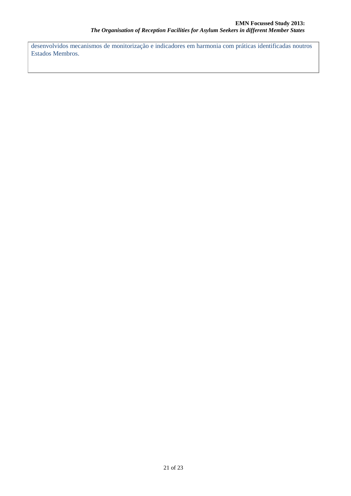desenvolvidos mecanismos de monitorização e indicadores em harmonia com práticas identificadas noutros Estados Membros.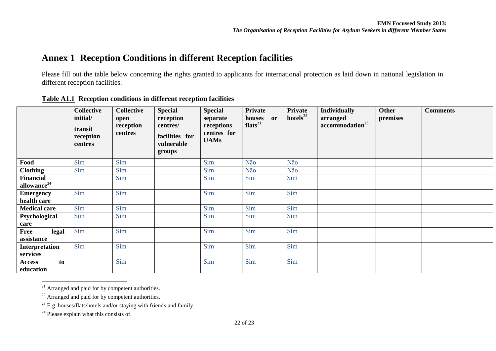# **Annex 1 Reception Conditions in different Reception facilities**

Please fill out the table below concerning the rights granted to applicants for international protection as laid down in national legislation in different reception facilities.

|                         | <b>Collective</b><br>initial/<br>transit<br>reception<br>centres | <b>Collective</b><br>open<br>reception<br>centres | <b>Special</b><br>reception<br>centres/<br>facilities for<br>vulnerable<br>groups | <b>Special</b><br>separate<br>receptions<br>centres for<br><b>UAMs</b> | <b>Private</b><br>or<br>houses<br>flats $^{21}$ | <b>Private</b><br>hotels $^{22}$ | <b>Individually</b><br>arranged<br>accommodation <sup>23</sup> | <b>Other</b><br>premises | <b>Comments</b> |
|-------------------------|------------------------------------------------------------------|---------------------------------------------------|-----------------------------------------------------------------------------------|------------------------------------------------------------------------|-------------------------------------------------|----------------------------------|----------------------------------------------------------------|--------------------------|-----------------|
| Food                    | Sim                                                              | Sim                                               |                                                                                   | Sim                                                                    | Não                                             | Não                              |                                                                |                          |                 |
| <b>Clothing</b>         | Sim                                                              | Sim                                               |                                                                                   | Sim                                                                    | Não                                             | Não                              |                                                                |                          |                 |
| Financial               |                                                                  | Sim                                               |                                                                                   | Sim                                                                    | Sim                                             | Sim                              |                                                                |                          |                 |
| allowance <sup>24</sup> |                                                                  |                                                   |                                                                                   |                                                                        |                                                 |                                  |                                                                |                          |                 |
| <b>Emergency</b>        | Sim                                                              | Sim                                               |                                                                                   | Sim                                                                    | Sim                                             | Sim                              |                                                                |                          |                 |
| health care             |                                                                  |                                                   |                                                                                   |                                                                        |                                                 |                                  |                                                                |                          |                 |
| <b>Medical care</b>     | Sim                                                              | Sim                                               |                                                                                   | Sim                                                                    | Sim                                             | Sim                              |                                                                |                          |                 |
| Psychological           | Sim                                                              | Sim                                               |                                                                                   | Sim                                                                    | Sim                                             | Sim                              |                                                                |                          |                 |
| care                    |                                                                  |                                                   |                                                                                   |                                                                        |                                                 |                                  |                                                                |                          |                 |
| Free<br>legal           | Sim                                                              | Sim                                               |                                                                                   | Sim                                                                    | Sim                                             | Sim                              |                                                                |                          |                 |
| assistance              |                                                                  |                                                   |                                                                                   |                                                                        |                                                 |                                  |                                                                |                          |                 |
| Interpretation          | Sim                                                              | Sim                                               |                                                                                   | Sim                                                                    | Sim                                             | Sim                              |                                                                |                          |                 |
| services                |                                                                  |                                                   |                                                                                   |                                                                        |                                                 |                                  |                                                                |                          |                 |
| to<br>Access            |                                                                  | Sim                                               |                                                                                   | Sim                                                                    | Sim                                             | Sim                              |                                                                |                          |                 |
| education               |                                                                  |                                                   |                                                                                   |                                                                        |                                                 |                                  |                                                                |                          |                 |

**Table A1.1 Reception conditions in different reception facilities** 

 $\overline{a}$  $21$  Arranged and paid for by competent authorities.

<sup>22</sup> Arranged and paid for by competent authorities.

<sup>24</sup> Please explain what this consists of.

 $^{23}$  E.g. houses/flats/hotels and/or staying with friends and family.